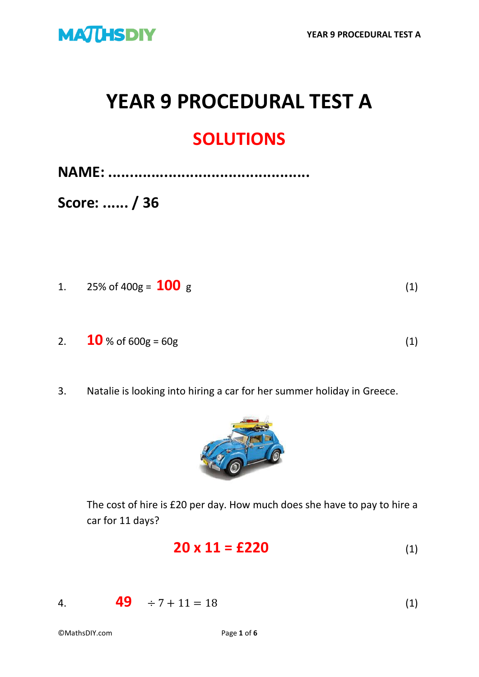

# **YEAR 9 PROCEDURAL TEST A**

#### **SOLUTIONS**

**NAME: ...............................................**

**Score: ...... / 36**

- 1. 25% of 400g =  $100 \text{ g}$  (1)
- 2. **10** % of 600g = 60g (1)
- 3. Natalie is looking into hiring a car for her summer holiday in Greece.



The cost of hire is £20 per day. How much does she have to pay to hire a car for 11 days?

$$
20 \times 11 = \text{\pounds}220 \tag{1}
$$

4. **49**  $\div 7 + 11 = 18$  (1)

©MathsDIY.com Page **1** of **6**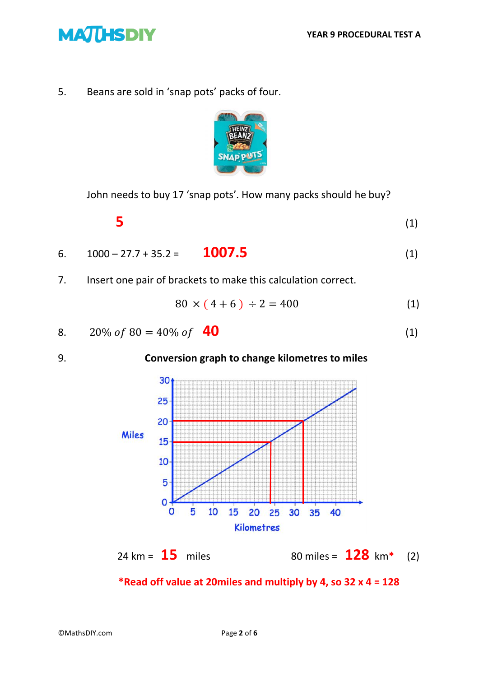

5. Beans are sold in 'snap pots' packs of four.



John needs to buy 17 'snap pots'. How many packs should he buy?

$$
5 \tag{1}
$$

6. 
$$
1000 - 27.7 + 35.2 =
$$
 **1007.5** (1)

7. Insert one pair of brackets to make this calculation correct.

$$
80 \times (4+6) \div 2 = 400 \tag{1}
$$

8. 
$$
20\% \text{ of } 80 = 40\% \text{ of } 40
$$
 (1)

#### 9. **Conversion graph to change kilometres to miles**



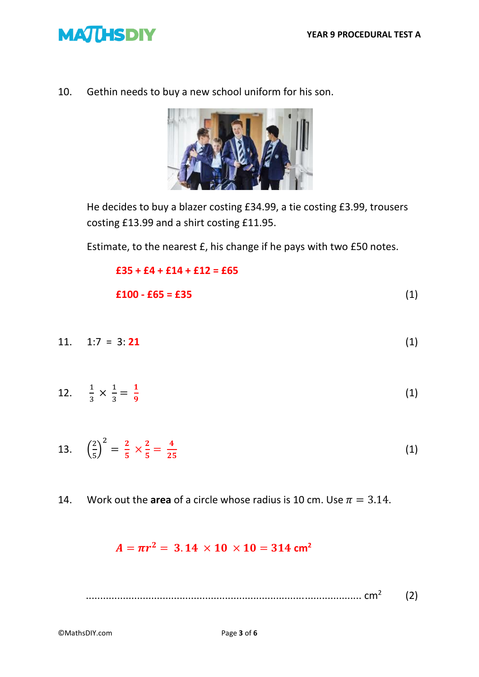

10. Gethin needs to buy a new school uniform for his son.



He decides to buy a blazer costing £34.99, a tie costing £3.99, trousers costing £13.99 and a shirt costing £11.95.

Estimate, to the nearest £, his change if he pays with two £50 notes.

$$
£35 + £4 + £14 + £12 = £65
$$
  
£100 - £65 = £35 (1)

11. 1:7 = 3: **21** (1)

12. 
$$
\frac{1}{3} \times \frac{1}{3} = \frac{1}{9}
$$
 (1)

13. 
$$
\left(\frac{2}{5}\right)^2 = \frac{2}{5} \times \frac{2}{5} = \frac{4}{25}
$$
 (1)

14. Work out the **area** of a circle whose radius is 10 cm. Use  $\pi = 3.14$ .

#### $A = \pi r^2 = 3.14 \times 10 \times 10 = 314 \text{ cm}^2$

 ................................................................................................. cm<sup>2</sup> (2)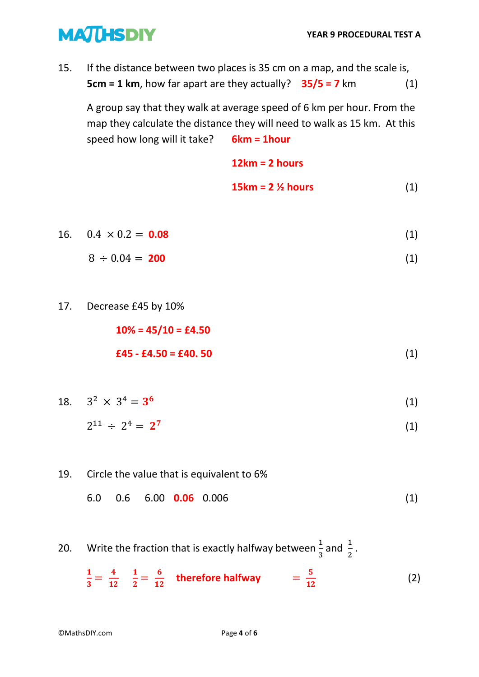### **MATHSDIY**

15. If the distance between two places is 35 cm on a map, and the scale is, **5cm = 1 km**, how far apart are they actually? **35/5 = 7** km (1)

A group say that they walk at average speed of 6 km per hour. From the map they calculate the distance they will need to walk as 15 km. At this speed how long will it take? **6km = 1hour**

> **12km = 2 hours 15km = 2 ½ hours** (1)

16.  $0.4 \times 0.2 = 0.08$  (1)

$$
8 \div 0.04 = 200 \tag{1}
$$

17. Decrease £45 by 10%

**10% = 45/10 = £4.50 £45 - £4.50 = £40. 50** (1)

18.  $3^2 \times 3^4 = 3^6$ (1)

$$
2^{11} \div 2^4 = 2^7 \tag{1}
$$

- 19. Circle the value that is equivalent to 6%
	- 6.0 0.6 6.00 **0.06** 0.006 (1)
- 20. Write the fraction that is exactly halfway between  $\frac{1}{3}$  and  $\frac{1}{2}$ .

$$
\frac{1}{3} = \frac{4}{12} \quad \frac{1}{2} = \frac{6}{12} \quad \text{therefore halfway} \qquad = \frac{5}{12} \tag{2}
$$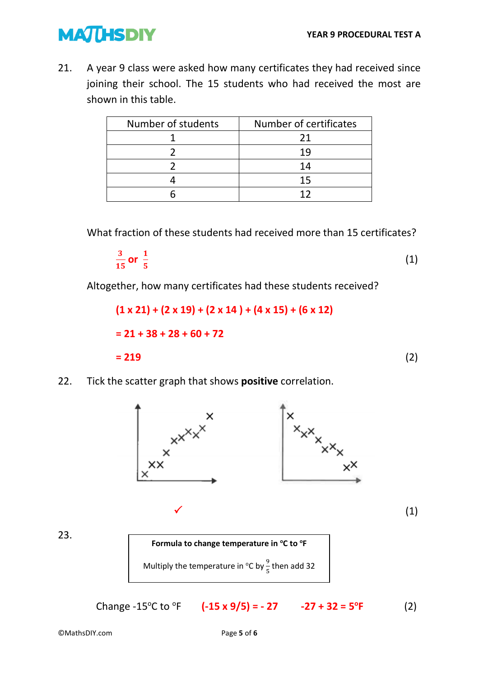## **MATHSDIY**

21. A year 9 class were asked how many certificates they had received since joining their school. The 15 students who had received the most are shown in this table.

| Number of students | Number of certificates |
|--------------------|------------------------|
|                    | 21                     |
|                    | 19                     |
|                    | 14                     |
|                    | 15                     |
|                    |                        |

What fraction of these students had received more than 15 certificates?

$$
\frac{3}{15} \text{ or } \frac{1}{5} \tag{1}
$$

Altogether, how many certificates had these students received?

$$
(1 \times 21) + (2 \times 19) + (2 \times 14) + (4 \times 15) + (6 \times 12)
$$
  
= 21 + 38 + 28 + 60 + 72  
= 219 (2)

22. Tick the scatter graph that shows **positive** correlation.



23.



**Change -15<sup>o</sup>C to <sup>o</sup>F (-15 x 9/5) = - 27 -27 + 32 = 5<sup>o</sup>**  $(2)$